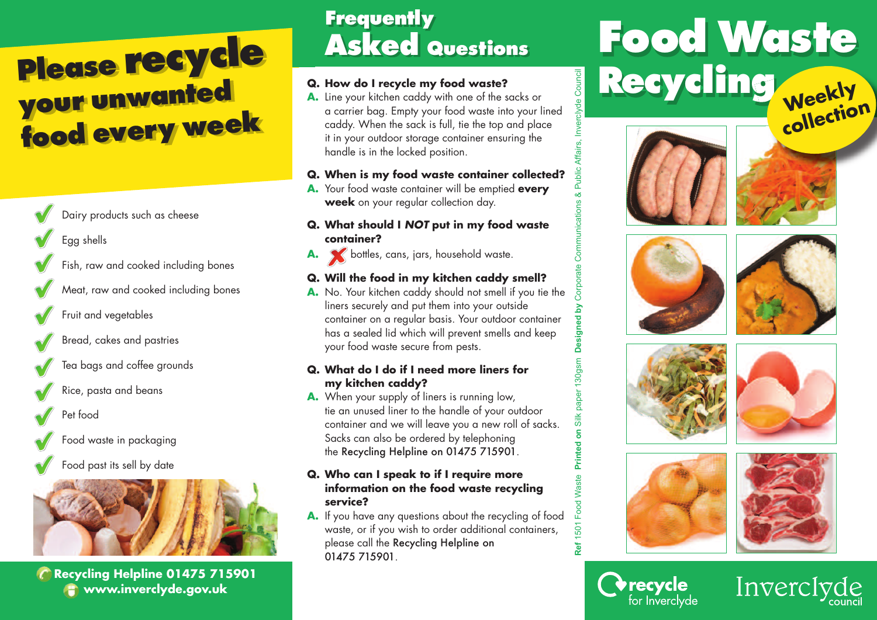## **Please recycle your unwante<sup>d</sup> food every week**

Dairy products such as cheese

Egg shells

Fish, raw and cooked including bones

- Meat, raw and cooked including bones
- Fruit and vegetables
- Bread, cakes and pastries
- Tea bags and coffee grounds
- Rice, pasta and beans
- Pet food
- Food waste in packaging
- Food past its sell by date



**Recycling Helpline 01475 715901 www.inverclyde.gov.uk**

### **Frequently Asked Questions**

#### **Q. How do I recycle my food waste?**

**A.** Line your kitchen caddy with one of the sacks or a carrier bag. Empty your food waste into your lined caddy. When the sack is full, tie the top and place it in your outdoor storage container ensuring the handle is in the locked position.

#### **Q. When is my food waste container collected?**

**A.** Your food waste container will be emptied **every week** on your regular collection day.

#### **Q. What should I** *NOT* **put in my food waste container?**

A. <br>**A.** bottles, cans, jars, household waste.

#### **Q. Will the food in my kitchen caddy smell?**

**A.** No. Your kitchen caddy should not smell if you tie the liners securely and put them into your outside container on a regular basis. Your outdoor container has a sealed lid which will prevent smells and keep your food waste secure from pests.

#### **Q. What do I do if I need more liners for my kitchen caddy?**

**A.** When your supply of liners is running low, tie an unused liner to the handle of your outdoor container and we will leave you a new roll of sacks. Sacks can also be ordered by telephoning the Recycling Helpline on 01475 715901.

#### **Q. Who can I speak to if I require more information on the food waste recycling service?**

**A.** If you have any questions about the recycling of food waste, or if you wish to order additional containers, please call the Recycling Helpline on 01475 715901.

# **Food Waste** Recycling <sub>Weekly</sub> **collection**











**Orecycle**<br>for Inverclyde

**Ref** 1501 Food Waste **Printed on** Silk paper 130gsm

**Ref** 

**Designed by** Corporate Com

30gsr

munications & Public Affairs, Inverclyde Council

yde Council



Inverciyde